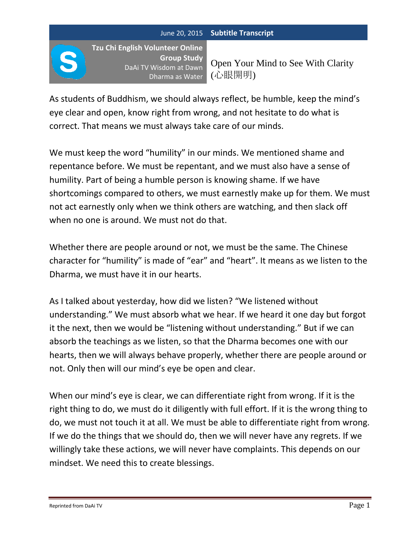**Tzu Chi English Volunteer Online Group Study** DaAi TV Wisdom at Dawn Dharma as Water

Open Your Mind to See With Clarity (心眼開明)

As students of Buddhism, we should always reflect, be humble, keep the mind's eye clear and open, know right from wrong, and not hesitate to do what is correct. That means we must always take care of our minds.

We must keep the word "humility" in our minds. We mentioned shame and repentance before. We must be repentant, and we must also have a sense of humility. Part of being a humble person is knowing shame. If we have shortcomings compared to others, we must earnestly make up for them. We must not act earnestly only when we think others are watching, and then slack off when no one is around. We must not do that.

Whether there are people around or not, we must be the same. The Chinese character for "humility" is made of "ear" and "heart". It means as we listen to the Dharma, we must have it in our hearts.

As I talked about yesterday, how did we listen? "We listened without understanding." We must absorb what we hear. If we heard it one day but forgot it the next, then we would be "listening without understanding." But if we can absorb the teachings as we listen, so that the Dharma becomes one with our hearts, then we will always behave properly, whether there are people around or not. Only then will our mind's eye be open and clear.

When our mind's eye is clear, we can differentiate right from wrong. If it is the right thing to do, we must do it diligently with full effort. If it is the wrong thing to do, we must not touch it at all. We must be able to differentiate right from wrong. If we do the things that we should do, then we will never have any regrets. If we willingly take these actions, we will never have complaints. This depends on our mindset. We need this to create blessings.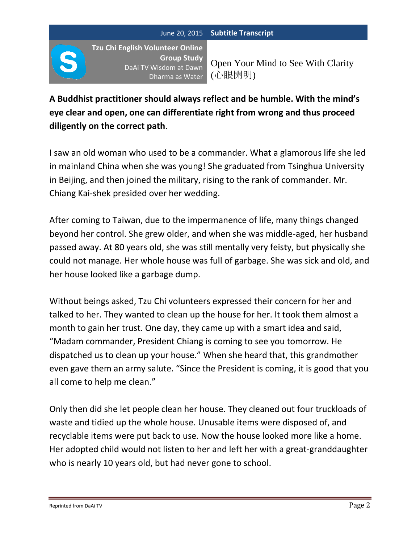**Tzu Chi English Volunteer Online Group Study** DaAi TV Wisdom at Dawn Dharma as Water

Open Your Mind to See With Clarity (心眼開明)

**A Buddhist practitioner should always reflect and be humble. With the mind's eye clear and open, one can differentiate right from wrong and thus proceed diligently on the correct path**.

I saw an old woman who used to be a commander. What a glamorous life she led in mainland China when she was young! She graduated from Tsinghua University in Beijing, and then joined the military, rising to the rank of commander. Mr. Chiang Kai-shek presided over her wedding.

After coming to Taiwan, due to the impermanence of life, many things changed beyond her control. She grew older, and when she was middle-aged, her husband passed away. At 80 years old, she was still mentally very feisty, but physically she could not manage. Her whole house was full of garbage. She was sick and old, and her house looked like a garbage dump.

Without beings asked, Tzu Chi volunteers expressed their concern for her and talked to her. They wanted to clean up the house for her. It took them almost a month to gain her trust. One day, they came up with a smart idea and said, "Madam commander, President Chiang is coming to see you tomorrow. He dispatched us to clean up your house." When she heard that, this grandmother even gave them an army salute. "Since the President is coming, it is good that you all come to help me clean."

Only then did she let people clean her house. They cleaned out four truckloads of waste and tidied up the whole house. Unusable items were disposed of, and recyclable items were put back to use. Now the house looked more like a home. Her adopted child would not listen to her and left her with a great-granddaughter who is nearly 10 years old, but had never gone to school.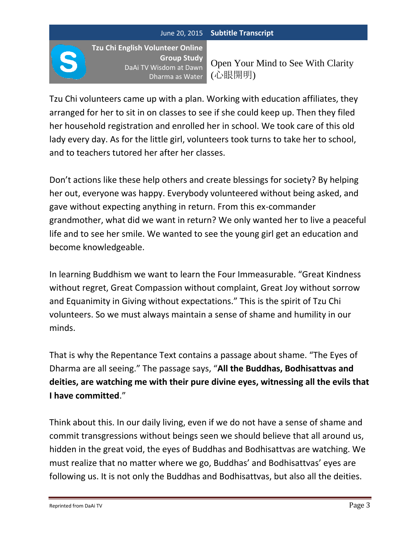**Tzu Chi English Volunteer Online Group Study** DaAi TV Wisdom at Dawn Dharma as Water

Open Your Mind to See With Clarity (心眼開明)

Tzu Chi volunteers came up with a plan. Working with education affiliates, they arranged for her to sit in on classes to see if she could keep up. Then they filed her household registration and enrolled her in school. We took care of this old lady every day. As for the little girl, volunteers took turns to take her to school, and to teachers tutored her after her classes.

Don't actions like these help others and create blessings for society? By helping her out, everyone was happy. Everybody volunteered without being asked, and gave without expecting anything in return. From this ex-commander grandmother, what did we want in return? We only wanted her to live a peaceful life and to see her smile. We wanted to see the young girl get an education and become knowledgeable.

In learning Buddhism we want to learn the Four Immeasurable. "Great Kindness without regret, Great Compassion without complaint, Great Joy without sorrow and Equanimity in Giving without expectations." This is the spirit of Tzu Chi volunteers. So we must always maintain a sense of shame and humility in our minds.

That is why the Repentance Text contains a passage about shame. "The Eyes of Dharma are all seeing." The passage says, "**All the Buddhas, Bodhisattvas and deities, are watching me with their pure divine eyes, witnessing all the evils that I have committed**."

Think about this. In our daily living, even if we do not have a sense of shame and commit transgressions without beings seen we should believe that all around us, hidden in the great void, the eyes of Buddhas and Bodhisattvas are watching. We must realize that no matter where we go, Buddhas' and Bodhisattvas' eyes are following us. It is not only the Buddhas and Bodhisattvas, but also all the deities.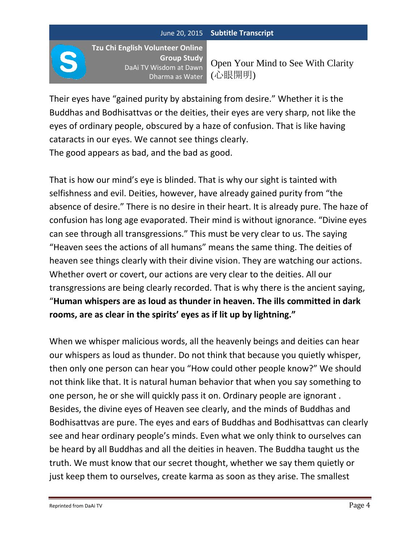**Tzu Chi English Volunteer Online Group Study** DaAi TV Wisdom at Dawn Dharma as Water

Open Your Mind to See With Clarity (心眼開明)

Their eyes have "gained purity by abstaining from desire." Whether it is the Buddhas and Bodhisattvas or the deities, their eyes are very sharp, not like the eyes of ordinary people, obscured by a haze of confusion. That is like having cataracts in our eyes. We cannot see things clearly. The good appears as bad, and the bad as good.

That is how our mind's eye is blinded. That is why our sight is tainted with selfishness and evil. Deities, however, have already gained purity from "the absence of desire." There is no desire in their heart. It is already pure. The haze of confusion has long age evaporated. Their mind is without ignorance. "Divine eyes can see through all transgressions." This must be very clear to us. The saying "Heaven sees the actions of all humans" means the same thing. The deities of heaven see things clearly with their divine vision. They are watching our actions. Whether overt or covert, our actions are very clear to the deities. All our transgressions are being clearly recorded. That is why there is the ancient saying, "**Human whispers are as loud as thunder in heaven. The ills committed in dark rooms, are as clear in the spirits' eyes as if lit up by lightning."**

When we whisper malicious words, all the heavenly beings and deities can hear our whispers as loud as thunder. Do not think that because you quietly whisper, then only one person can hear you "How could other people know?" We should not think like that. It is natural human behavior that when you say something to one person, he or she will quickly pass it on. Ordinary people are ignorant . Besides, the divine eyes of Heaven see clearly, and the minds of Buddhas and Bodhisattvas are pure. The eyes and ears of Buddhas and Bodhisattvas can clearly see and hear ordinary people's minds. Even what we only think to ourselves can be heard by all Buddhas and all the deities in heaven. The Buddha taught us the truth. We must know that our secret thought, whether we say them quietly or just keep them to ourselves, create karma as soon as they arise. The smallest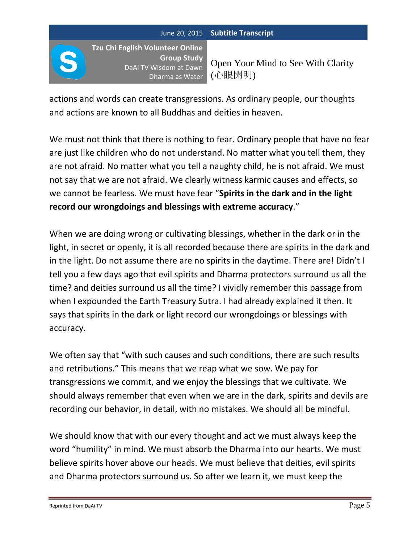**Tzu Chi English Volunteer Online Group Study** DaAi TV Wisdom at Dawn Dharma as Water

Open Your Mind to See With Clarity (心眼開明)

actions and words can create transgressions. As ordinary people, our thoughts and actions are known to all Buddhas and deities in heaven.

We must not think that there is nothing to fear. Ordinary people that have no fear are just like children who do not understand. No matter what you tell them, they are not afraid. No matter what you tell a naughty child, he is not afraid. We must not say that we are not afraid. We clearly witness karmic causes and effects, so we cannot be fearless. We must have fear "**Spirits in the dark and in the light record our wrongdoings and blessings with extreme accuracy**."

When we are doing wrong or cultivating blessings, whether in the dark or in the light, in secret or openly, it is all recorded because there are spirits in the dark and in the light. Do not assume there are no spirits in the daytime. There are! Didn't I tell you a few days ago that evil spirits and Dharma protectors surround us all the time? and deities surround us all the time? I vividly remember this passage from when I expounded the Earth Treasury Sutra. I had already explained it then. It says that spirits in the dark or light record our wrongdoings or blessings with accuracy.

We often say that "with such causes and such conditions, there are such results and retributions." This means that we reap what we sow. We pay for transgressions we commit, and we enjoy the blessings that we cultivate. We should always remember that even when we are in the dark, spirits and devils are recording our behavior, in detail, with no mistakes. We should all be mindful.

We should know that with our every thought and act we must always keep the word "humility" in mind. We must absorb the Dharma into our hearts. We must believe spirits hover above our heads. We must believe that deities, evil spirits and Dharma protectors surround us. So after we learn it, we must keep the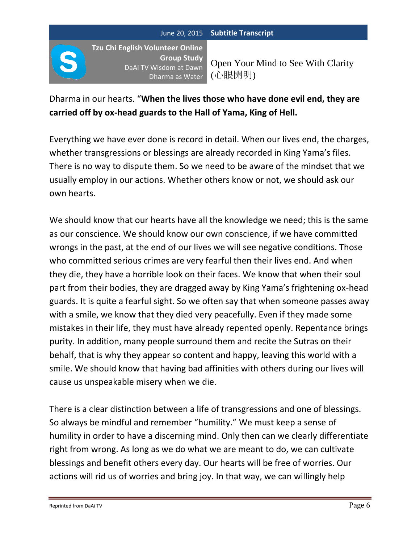**Tzu Chi English Volunteer Online Group Study** DaAi TV Wisdom at Dawn Dharma as Water

Open Your Mind to See With Clarity (心眼開明)

# Dharma in our hearts. "**When the lives those who have done evil end, they are carried off by ox-head guards to the Hall of Yama, King of Hell.**

Everything we have ever done is record in detail. When our lives end, the charges, whether transgressions or blessings are already recorded in King Yama's files. There is no way to dispute them. So we need to be aware of the mindset that we usually employ in our actions. Whether others know or not, we should ask our own hearts.

We should know that our hearts have all the knowledge we need; this is the same as our conscience. We should know our own conscience, if we have committed wrongs in the past, at the end of our lives we will see negative conditions. Those who committed serious crimes are very fearful then their lives end. And when they die, they have a horrible look on their faces. We know that when their soul part from their bodies, they are dragged away by King Yama's frightening ox-head guards. It is quite a fearful sight. So we often say that when someone passes away with a smile, we know that they died very peacefully. Even if they made some mistakes in their life, they must have already repented openly. Repentance brings purity. In addition, many people surround them and recite the Sutras on their behalf, that is why they appear so content and happy, leaving this world with a smile. We should know that having bad affinities with others during our lives will cause us unspeakable misery when we die.

There is a clear distinction between a life of transgressions and one of blessings. So always be mindful and remember "humility." We must keep a sense of humility in order to have a discerning mind. Only then can we clearly differentiate right from wrong. As long as we do what we are meant to do, we can cultivate blessings and benefit others every day. Our hearts will be free of worries. Our actions will rid us of worries and bring joy. In that way, we can willingly help